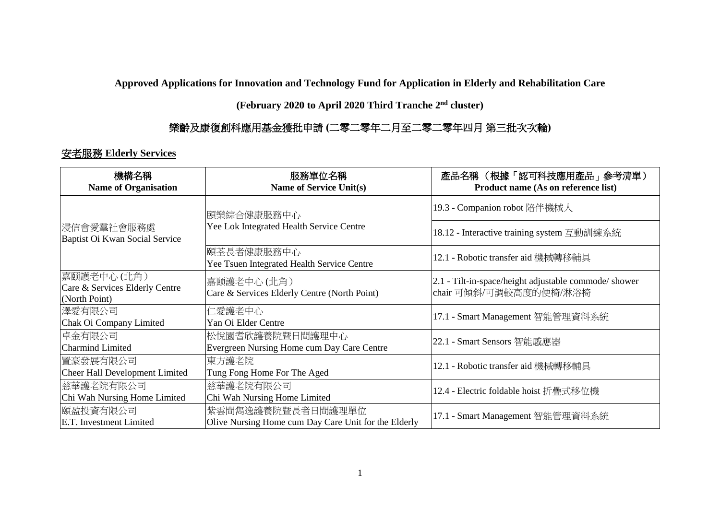**Approved Applications for Innovation and Technology Fund for Application in Elderly and Rehabilitation Care** 

**(February 2020 to April 2020 Third Tranche 2 nd cluster)**

## 樂齡及康復創科應用基金獲批申請 **(**二零二零年二月至二零二零年四月 第三批次次輪**)**

## 安老服務 **Elderly Services**

| 機構名稱<br><b>Name of Organisation</b>                           | 服務單位名稱<br><b>Name of Service Unit(s)</b>                                  | 產品名稱 (根據「認可科技應用產品」參考清單)<br>Product name (As on reference list)                  |
|---------------------------------------------------------------|---------------------------------------------------------------------------|---------------------------------------------------------------------------------|
| 浸信會愛羣社會服務處 <br>Baptist Oi Kwan Social Service                 | 頤樂綜合健康服務中心<br>Yee Lok Integrated Health Service Centre                    | 19.3 - Companion robot 陪伴機械人                                                    |
|                                                               |                                                                           | 18.12 - Interactive training system 互動訓練系統                                      |
|                                                               | 頤荃長者健康服務中心<br>Yee Tsuen Integrated Health Service Centre                  | 12.1 - Robotic transfer aid 機械轉移輔具                                              |
| 嘉颐護老中心(北角)<br>Care & Services Elderly Centre<br>(North Point) | 嘉颐護老中心(北角)<br>Care & Services Elderly Centre (North Point)                | 2.1 - Tilt-in-space/height adjustable commode/ shower<br>chair 可傾斜/可調較高度的便椅/淋浴椅 |
| 澤愛有限公司<br>Chak Oi Company Limited                             | 仁愛護老中心<br>Yan Oi Elder Centre                                             | 17.1 - Smart Management 智能管理資料系統                                                |
| 卓金有限公司<br>Charmind Limited                                    | 松悅園耆欣護養院暨日間護理中心<br>Evergreen Nursing Home cum Day Care Centre             | 22.1 - Smart Sensors 智能感應器                                                      |
| 置豪發展有限公司<br>Cheer Hall Development Limited                    | 東方護老院<br>Tung Fong Home For The Aged                                      | 12.1 - Robotic transfer aid 機械轉移輔具                                              |
| 慈華護老院有限公司<br>Chi Wah Nursing Home Limited                     | 慈華護老院有限公司<br>Chi Wah Nursing Home Limited                                 | 12.4 - Electric foldable hoist 折疊式移位機                                           |
| 頤盈投資有限公司<br>E.T. Investment Limited                           | 紫雲間雋逸護養院暨長者日間護理單位<br>Olive Nursing Home cum Day Care Unit for the Elderly | 17.1 - Smart Management 智能管理資料系統                                                |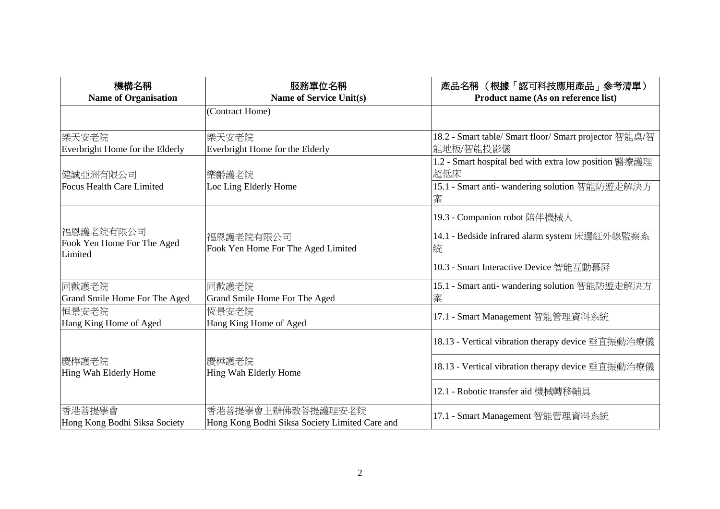| 機構名稱<br><b>Name of Organisation</b>                | 服務單位名稱<br><b>Name of Service Unit(s)</b>                            | 產品名稱 (根據「認可科技應用產品」參考清單)<br>Product name (As on reference list)                                                               |
|----------------------------------------------------|---------------------------------------------------------------------|------------------------------------------------------------------------------------------------------------------------------|
|                                                    | (Contract Home)                                                     |                                                                                                                              |
| 樂天安老院<br>Everbright Home for the Elderly           | 樂天安老院<br>Everbright Home for the Elderly                            | 18.2 - Smart table/ Smart floor/ Smart projector 智能桌/智<br>能地板/智能投影儀                                                          |
| 健誠亞洲有限公司<br>Focus Health Care Limited              | 樂齡護老院<br>Loc Ling Elderly Home                                      | 1.2 - Smart hospital bed with extra low position 醫療護理<br>超低床<br>15.1 - Smart anti- wandering solution 智能防遊走解決方<br>案          |
| 福恩護老院有限公司<br>Fook Yen Home For The Aged<br>Limited | 福恩護老院有限公司<br>Fook Yen Home For The Aged Limited                     | 19.3 - Companion robot 陪伴機械人<br>14.1 - Bedside infrared alarm system 床邊紅外線監察系<br>統<br>10.3 - Smart Interactive Device 智能互動幕屏 |
| 同歡護老院<br>Grand Smile Home For The Aged             | 同歡護老院<br>Grand Smile Home For The Aged                              | 15.1 - Smart anti- wandering solution 智能防遊走解決方<br>案                                                                          |
| 恒景安老院<br>Hang King Home of Aged                    | 恆景安老院<br>Hang King Home of Aged                                     | 17.1 - Smart Management 智能管理資料系統                                                                                             |
|                                                    |                                                                     | 18.13 - Vertical vibration therapy device 垂直振動治療儀                                                                            |
| 慶樺護老院<br>Hing Wah Elderly Home                     | 慶樺護老院<br>Hing Wah Elderly Home                                      | 18.13 - Vertical vibration therapy device 垂直振動治療儀                                                                            |
|                                                    |                                                                     | 12.1 - Robotic transfer aid 機械轉移輔具                                                                                           |
| 香港菩提學會<br>Hong Kong Bodhi Siksa Society            | 香港菩提學會主辦佛教菩提護理安老院<br>Hong Kong Bodhi Siksa Society Limited Care and | 17.1 - Smart Management 智能管理資料系統                                                                                             |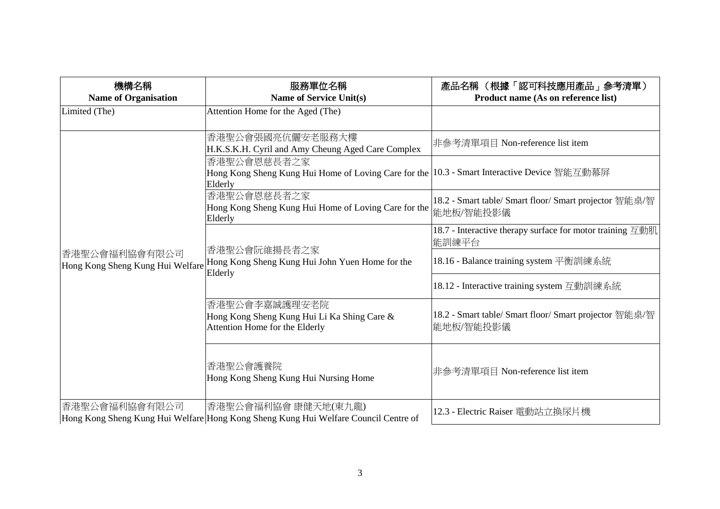| 機構名稱<br><b>Name of Organisation</b>                | 服務單位名稱<br><b>Name of Service Unit(s)</b>                                                                                | 產品名稱(根據「認可科技應用產品」參考清單)<br>Product name (As on reference list)                                        |
|----------------------------------------------------|-------------------------------------------------------------------------------------------------------------------------|------------------------------------------------------------------------------------------------------|
| Limited (The)                                      | Attention Home for the Aged (The)                                                                                       |                                                                                                      |
|                                                    | 香港聖公會張國亮伉儷安老服務大樓<br>H.K.S.K.H. Cyril and Amy Cheung Aged Care Complex                                                   | 非參考清單項目 Non-reference list item                                                                      |
|                                                    | 香港聖公會恩慈長者之家<br>Hong Kong Sheng Kung Hui Home of Loving Care for the   10.3 - Smart Interactive Device 智能互動幕屏<br>Elderly |                                                                                                      |
|                                                    | 香港聖公會恩慈長者之家<br>Hong Kong Sheng Kung Hui Home of Loving Care for the<br>Elderly                                          | 18.2 - Smart table/ Smart floor/ Smart projector 智能桌/智<br>能地板/智能投影儀                                  |
|                                                    | 香港聖公會阮維揚長者之家                                                                                                            | 18.7 - Interactive therapy surface for motor training $\overline{\Xi}$ the $\overline{\Xi}$<br>能訓練平台 |
| 香港聖公會福利協會有限公司 <br>Hong Kong Sheng Kung Hui Welfare | Hong Kong Sheng Kung Hui John Yuen Home for the<br>Elderly                                                              | 18.16 - Balance training system 平衡訓練系統                                                               |
|                                                    |                                                                                                                         | 18.12 - Interactive training system 互動訓練系統                                                           |
|                                                    | 香港聖公會李嘉誠護理安老院<br>Hong Kong Sheng Kung Hui Li Ka Shing Care &<br>Attention Home for the Elderly                          | 18.2 - Smart table/ Smart floor/ Smart projector 智能桌/智<br>能地板/智能投影儀                                  |
|                                                    | 香港聖公會護養院<br>Hong Kong Sheng Kung Hui Nursing Home                                                                       | 非參考清單項目 Non-reference list item                                                                      |
| 香港聖公會福利協會有限公司                                      | 香港聖公會福利協會 康健天地(東九龍)<br>Hong Kong Sheng Kung Hui Welfare Hong Kong Sheng Kung Hui Welfare Council Centre of              | 12.3 - Electric Raiser 電動站立換尿片機                                                                      |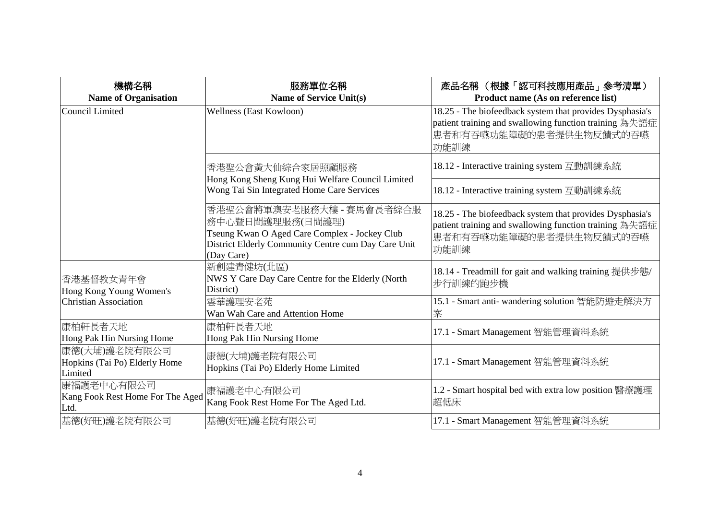| 機構名稱                                                      | 服務單位名稱                                                                                                                                                              | 產品名稱(根據「認可科技應用產品」參考清單)                                                                                                                                                                       |
|-----------------------------------------------------------|---------------------------------------------------------------------------------------------------------------------------------------------------------------------|----------------------------------------------------------------------------------------------------------------------------------------------------------------------------------------------|
| <b>Name of Organisation</b><br>Council Limited            | <b>Name of Service Unit(s)</b><br>Wellness (East Kowloon)                                                                                                           | Product name (As on reference list)<br>18.25 - The biofeedback system that provides Dysphasia's<br>patient training and swallowing function training 為失語症<br>患者和有吞嚥功能障礙的患者提供生物反饋式的吞嚥<br>功能訓練 |
|                                                           | 香港聖公會黃大仙綜合家居照顧服務<br>Hong Kong Sheng Kung Hui Welfare Council Limited                                                                                                | 18.12 - Interactive training system 互動訓練系統                                                                                                                                                   |
|                                                           | Wong Tai Sin Integrated Home Care Services                                                                                                                          | 18.12 - Interactive training system 互動訓練系統                                                                                                                                                   |
|                                                           | 香港聖公會將軍澳安老服務大樓 - 賽馬會長者綜合服<br>務中心暨日間護理服務(日間護理)<br>Tseung Kwan O Aged Care Complex - Jockey Club<br>District Elderly Community Centre cum Day Care Unit<br>(Day Care) | 18.25 - The biofeedback system that provides Dysphasia's<br>patient training and swallowing function training 為失語症<br>患者和有吞嚥功能障礙的患者提供生物反饋式的吞嚥<br>功能訓練                                        |
| 香港基督教女青年會<br>Hong Kong Young Women's                      | 新創建青健坊(北區)<br>NWS Y Care Day Care Centre for the Elderly (North<br>District)                                                                                        | 18.14 - Treadmill for gait and walking training 提供步態/<br>步行訓練的跑步機                                                                                                                            |
| <b>Christian Association</b>                              | 雲華護理安老苑<br>Wan Wah Care and Attention Home                                                                                                                          | 15.1 - Smart anti- wandering solution 智能防遊走解決方<br>案                                                                                                                                          |
| 康柏軒長者天地<br>Hong Pak Hin Nursing Home                      | 康柏軒長者天地<br>Hong Pak Hin Nursing Home                                                                                                                                | 17.1 - Smart Management 智能管理資料系統                                                                                                                                                             |
| 康德(大埔)護老院有限公司<br>Hopkins (Tai Po) Elderly Home<br>Limited | 康德(大埔)護老院有限公司<br>Hopkins (Tai Po) Elderly Home Limited                                                                                                              | 17.1 - Smart Management 智能管理資料系統                                                                                                                                                             |
| 康福護老中心有限公司<br>Kang Fook Rest Home For The Aged<br>Ltd.    | 康福護老中心有限公司<br>Kang Fook Rest Home For The Aged Ltd.                                                                                                                 | 1.2 - Smart hospital bed with extra low position 醫療護理<br>超低床                                                                                                                                 |
| 基德(好旺)護老院有限公司                                             | 基德(好旺)護老院有限公司                                                                                                                                                       | 17.1 - Smart Management 智能管理資料系統                                                                                                                                                             |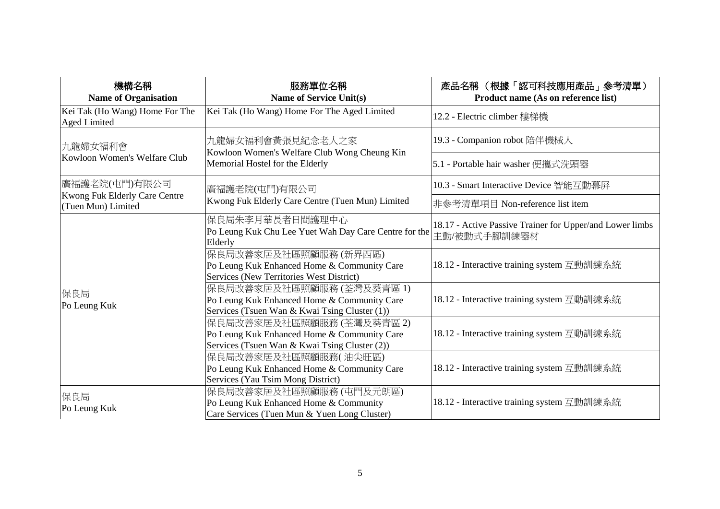| 機構名稱<br><b>Name of Organisation</b>                   | 服務單位名稱<br>Name of Service Unit(s)                                                                                        | 產品名稱 (根據「認可科技應用產品」參考清單)<br>Product name (As on reference list)           |
|-------------------------------------------------------|--------------------------------------------------------------------------------------------------------------------------|--------------------------------------------------------------------------|
| Kei Tak (Ho Wang) Home For The<br><b>Aged Limited</b> | Kei Tak (Ho Wang) Home For The Aged Limited                                                                              | 12.2 - Electric climber 樓梯機                                              |
| 九龍婦女福利會                                               | 九龍婦女福利會黃張見紀念老人之家                                                                                                         | 19.3 - Companion robot 陪伴機械人                                             |
| Kowloon Women's Welfare Club                          | Kowloon Women's Welfare Club Wong Cheung Kin<br>Memorial Hostel for the Elderly                                          | 5.1 - Portable hair washer 便攜式洗頭器                                        |
| 廣福護老院(屯門)有限公司                                         | 廣福護老院(屯門)有限公司                                                                                                            | 10.3 - Smart Interactive Device 智能互動幕屏                                   |
| Kwong Fuk Elderly Care Centre<br>(Tuen Mun) Limited   | Kwong Fuk Elderly Care Centre (Tuen Mun) Limited                                                                         | 非參考清單項目 Non-reference list item                                          |
| 保良局<br>Po Leung Kuk                                   | 保良局朱李月華長者日間護理中心<br>Po Leung Kuk Chu Lee Yuet Wah Day Care Centre for the<br>Elderly                                      | 18.17 - Active Passive Trainer for Upper/and Lower limbs<br>主動/被動式手腳訓練器材 |
|                                                       | 保良局改善家居及社區照顧服務(新界西區)<br>Po Leung Kuk Enhanced Home & Community Care<br>Services (New Territories West District)          | 18.12 - Interactive training system 互動訓練系統                               |
|                                                       | 保良局改善家居及社區照顧服務(荃灣及葵青區 1)<br>Po Leung Kuk Enhanced Home & Community Care<br>Services (Tsuen Wan & Kwai Tsing Cluster (1)) | 18.12 - Interactive training system 互動訓練系統                               |
|                                                       | 保良局改善家居及社區照顧服務(荃灣及葵青區2)<br>Po Leung Kuk Enhanced Home & Community Care<br>Services (Tsuen Wan & Kwai Tsing Cluster (2))  | 18.12 - Interactive training system 互動訓練系統                               |
|                                                       | 保良局改善家居及社區照顧服務(油尖旺區)<br>Po Leung Kuk Enhanced Home & Community Care<br>Services (Yau Tsim Mong District)                 | 18.12 - Interactive training system 互動訓練系統                               |
| 保良局<br>Po Leung Kuk                                   | 保良局改善家居及社區照顧服務 (屯門及元朗區)<br>Po Leung Kuk Enhanced Home & Community<br>Care Services (Tuen Mun & Yuen Long Cluster)        | 18.12 - Interactive training system 互動訓練系統                               |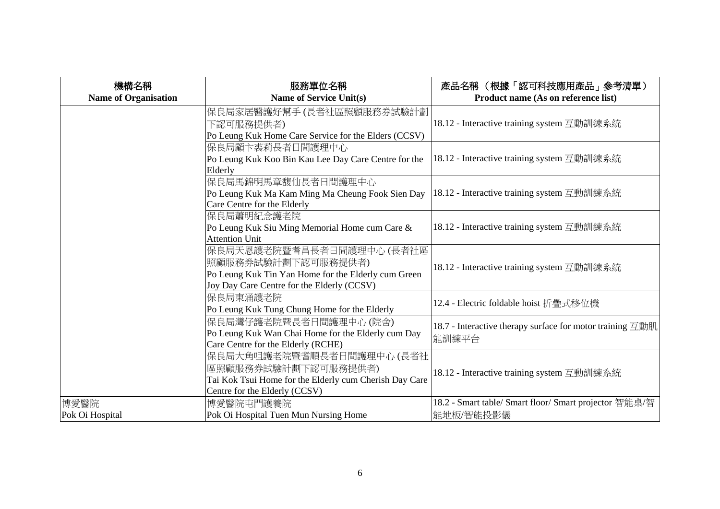| 機構名稱                        | 服務單位名稱                                                 | 產品名稱 (根據「認可科技應用產品」參考清單)                                                                              |
|-----------------------------|--------------------------------------------------------|------------------------------------------------------------------------------------------------------|
| <b>Name of Organisation</b> | <b>Name of Service Unit(s)</b>                         | Product name (As on reference list)                                                                  |
|                             | 保良局家居醫護好幫手(長者社區照顧服務券試驗計劃                               |                                                                                                      |
|                             | 下認可服務提供者)                                              | 18.12 - Interactive training system 互動訓練系統                                                           |
|                             | Po Leung Kuk Home Care Service for the Elders (CCSV)   |                                                                                                      |
|                             | 保良局顧卞裘莉長者日間護理中心                                        |                                                                                                      |
|                             | Po Leung Kuk Koo Bin Kau Lee Day Care Centre for the   | 18.12 - Interactive training system 互動訓練系統                                                           |
|                             | Elderly                                                |                                                                                                      |
|                             | 保良局馬錦明馬章馥仙長者日間護理中心                                     |                                                                                                      |
|                             | Po Leung Kuk Ma Kam Ming Ma Cheung Fook Sien Day       | 18.12 - Interactive training system 互動訓練系統                                                           |
|                             | Care Centre for the Elderly                            |                                                                                                      |
|                             | 保良局蕭明紀念護老院                                             |                                                                                                      |
|                             | Po Leung Kuk Siu Ming Memorial Home cum Care &         | 18.12 - Interactive training system 互動訓練系統                                                           |
|                             | <b>Attention Unit</b>                                  |                                                                                                      |
|                             | 保良局天恩護老院暨耆昌長者日間護理中心(長者社區                               |                                                                                                      |
|                             | 照顧服務券試驗計劃下認可服務提供者)                                     | 18.12 - Interactive training system 互動訓練系統                                                           |
|                             | Po Leung Kuk Tin Yan Home for the Elderly cum Green    |                                                                                                      |
|                             | Joy Day Care Centre for the Elderly (CCSV)             |                                                                                                      |
|                             | 保良局東涌護老院                                               | 12.4 - Electric foldable hoist 折疊式移位機                                                                |
|                             | Po Leung Kuk Tung Chung Home for the Elderly           |                                                                                                      |
|                             | 保良局灣仔護老院暨長者日間護理中心 (院舍)                                 | 18.7 - Interactive therapy surface for motor training $\overline{\Xi}$ the $\overline{\mathrm{H}}$ . |
|                             | Po Leung Kuk Wan Chai Home for the Elderly cum Day     | 能訓練平台                                                                                                |
|                             | Care Centre for the Elderly (RCHE)                     |                                                                                                      |
|                             | 保良局大角咀護老院暨耆順長者日間護理中心(長者社                               |                                                                                                      |
|                             | 區照顧服務券試驗計劃下認可服務提供者)                                    | 18.12 - Interactive training system 互動訓練系統                                                           |
|                             | Tai Kok Tsui Home for the Elderly cum Cherish Day Care |                                                                                                      |
|                             | Centre for the Elderly (CCSV)                          |                                                                                                      |
| 博愛醫院                        | 博愛醫院屯門護養院                                              | 18.2 - Smart table/ Smart floor/ Smart projector 智能桌/智                                               |
| Pok Oi Hospital             | Pok Oi Hospital Tuen Mun Nursing Home                  | 能地板/智能投影儀                                                                                            |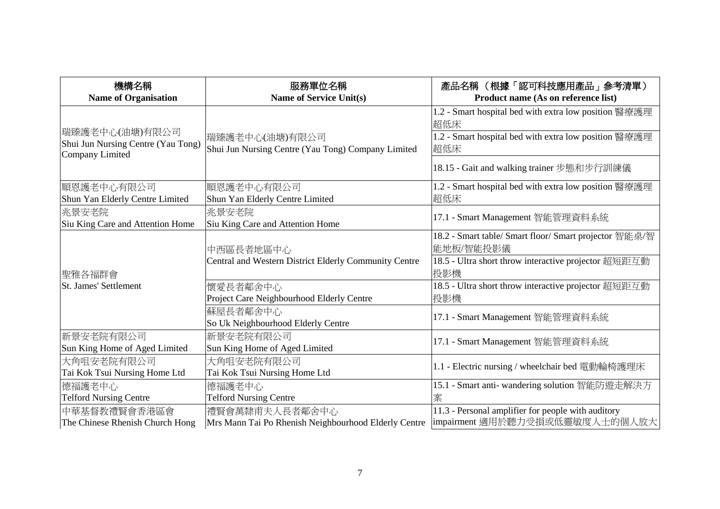| 機構名稱                                                 | 服務單位名稱                                                | 產品名稱 (根據「認可科技應用產品」參考清單)                                                                                               |
|------------------------------------------------------|-------------------------------------------------------|-----------------------------------------------------------------------------------------------------------------------|
| <b>Name of Organisation</b>                          | <b>Name of Service Unit(s)</b>                        | Product name (As on reference list)                                                                                   |
| 瑞臻護老中心(油塘)有限公司<br>Shui Jun Nursing Centre (Yau Tong) | 瑞臻護老中心(油塘)有限公司                                        | 1.2 - Smart hospital bed with extra low position 醫療護理<br>超低床<br>1.2 - Smart hospital bed with extra low position 醫療護理 |
| Company Limited                                      | Shui Jun Nursing Centre (Yau Tong) Company Limited    | 超低床                                                                                                                   |
|                                                      |                                                       | 18.15 - Gait and walking trainer 步態和步行訓練儀                                                                             |
| 順恩護老中心有限公司                                           | 順恩護老中心有限公司                                            | 1.2 - Smart hospital bed with extra low position 醫療護理                                                                 |
| Shun Yan Elderly Centre Limited                      | Shun Yan Elderly Centre Limited                       | 超低床                                                                                                                   |
| 兆景安老院<br>Siu King Care and Attention Home            | 兆景安老院<br>Siu King Care and Attention Home             | 17.1 - Smart Management 智能管理資料系統                                                                                      |
|                                                      | 中西區長者地區中心                                             | 18.2 - Smart table/ Smart floor/ Smart projector 智能桌/智<br>能地板/智能投影儀                                                   |
| 聖雅各福群會                                               | Central and Western District Elderly Community Centre | 18.5 - Ultra short throw interactive projector 超短距互動<br>投影機                                                           |
| <b>St. James' Settlement</b>                         | 懷愛長者鄰舍中心                                              | 18.5 - Ultra short throw interactive projector 超短距互動                                                                  |
|                                                      | Project Care Neighbourhood Elderly Centre             | 投影機                                                                                                                   |
|                                                      | 蘇屋長者鄰舍中心<br>So Uk Neighbourhood Elderly Centre        | 17.1 - Smart Management 智能管理資料系統                                                                                      |
| 新景安老院有限公司<br>Sun King Home of Aged Limited           | 新景安老院有限公司<br>Sun King Home of Aged Limited            | 17.1 - Smart Management 智能管理資料系統                                                                                      |
| 大角咀安老院有限公司<br>Tai Kok Tsui Nursing Home Ltd          | 大角咀安老院有限公司<br>Tai Kok Tsui Nursing Home Ltd           | 1.1 - Electric nursing / wheelchair bed 電動輪椅護理床                                                                       |
| 德福護老中心                                               | 德福護老中心                                                | 15.1 - Smart anti- wandering solution 智能防遊走解決方                                                                        |
| <b>Telford Nursing Centre</b>                        | <b>Telford Nursing Centre</b>                         | 案                                                                                                                     |
| 中華基督教禮賢會香港區會                                         | 禮賢會萬隸甫夫人長者鄰舍中心                                        | 11.3 - Personal amplifier for people with auditory                                                                    |
| The Chinese Rhenish Church Hong                      | Mrs Mann Tai Po Rhenish Neighbourhood Elderly Centre  | impairment 適用於聽力受損或低靈敏度人士的個人放大                                                                                        |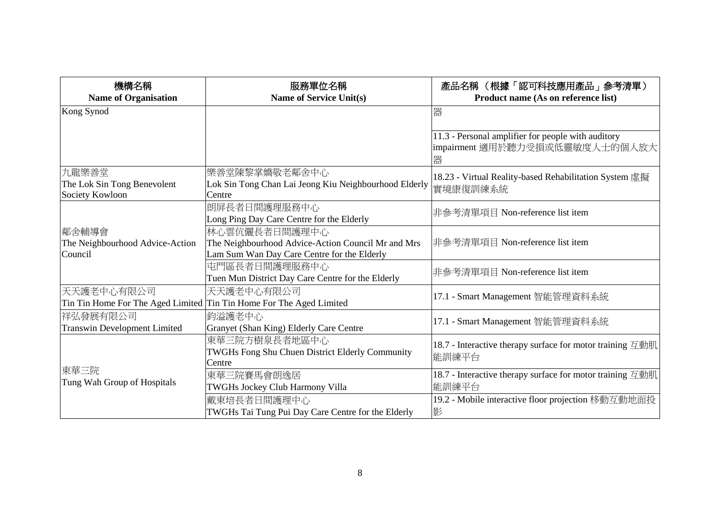| 機構名稱                                                                | 服務單位名稱                                                | 產品名稱 (根據「認可科技應用產品」參考清單)                                                                   |
|---------------------------------------------------------------------|-------------------------------------------------------|-------------------------------------------------------------------------------------------|
| <b>Name of Organisation</b>                                         | <b>Name of Service Unit(s)</b>                        | Product name (As on reference list)                                                       |
| Kong Synod                                                          |                                                       | 器                                                                                         |
|                                                                     |                                                       |                                                                                           |
|                                                                     |                                                       | 11.3 - Personal amplifier for people with auditory<br>impairment 適用於聽力受損或低靈敏度人士的個人放大<br>器 |
| 九龍樂善堂                                                               | 樂善堂陳黎掌嬌敬老鄰舍中心                                         | 18.23 - Virtual Reality-based Rehabilitation System 虛擬                                    |
| The Lok Sin Tong Benevolent                                         | Lok Sin Tong Chan Lai Jeong Kiu Neighbourhood Elderly | 實境康復訓練系統                                                                                  |
| Society Kowloon                                                     | Centre                                                |                                                                                           |
|                                                                     | 朗屏長者日間護理服務中心                                          | 非參考清單項目 Non-reference list item                                                           |
|                                                                     | Long Ping Day Care Centre for the Elderly             |                                                                                           |
| 鄰舍輔導會                                                               | 林心雲伉儷長者日間護理中心                                         |                                                                                           |
| The Neighbourhood Advice-Action                                     | The Neighbourhood Advice-Action Council Mr and Mrs    | 非參考清單項目 Non-reference list item                                                           |
| Council                                                             | Lam Sum Wan Day Care Centre for the Elderly           |                                                                                           |
|                                                                     | 屯門區長者日間護理服務中心                                         | 非參考清單項目 Non-reference list item                                                           |
|                                                                     | Tuen Mun District Day Care Centre for the Elderly     |                                                                                           |
| 天天護老中心有限公司                                                          | 天天護老中心有限公司                                            | 17.1 - Smart Management 智能管理資料系統                                                          |
| Tin Tin Home For The Aged Limited Tin Tin Home For The Aged Limited |                                                       |                                                                                           |
| 祥弘發展有限公司                                                            | 鈞溢護老中心                                                | 17.1 - Smart Management 智能管理資料系統                                                          |
| <b>Transwin Development Limited</b>                                 | Granyet (Shan King) Elderly Care Centre               |                                                                                           |
|                                                                     | 東華三院方樹泉長者地區中心                                         | 18.7 - Interactive therapy surface for motor training 互動肌                                 |
|                                                                     | TWGHs Fong Shu Chuen District Elderly Community       | 能訓練平台                                                                                     |
| 東華三院                                                                | Centre                                                |                                                                                           |
| Tung Wah Group of Hospitals                                         | 東華三院賽馬會朗逸居                                            | 18.7 - Interactive therapy surface for motor training 互動肌                                 |
|                                                                     | <b>TWGHs Jockey Club Harmony Villa</b>                | 能訓練平台                                                                                     |
|                                                                     | 戴東培長者日間護理中心                                           | 19.2 - Mobile interactive floor projection 移動互動地面投                                        |
|                                                                     | TWGHs Tai Tung Pui Day Care Centre for the Elderly    | 影                                                                                         |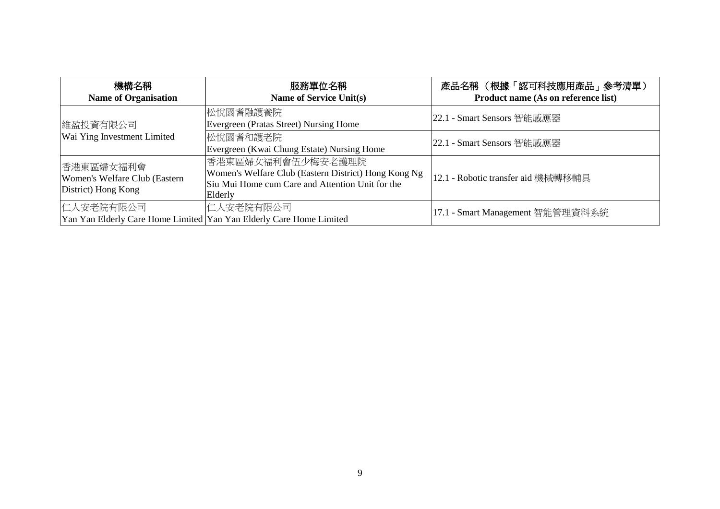| 機構名稱<br><b>Name of Organisation</b>                                              | 服務單位名稱<br><b>Name of Service Unit(s)</b>                                                                                                 | 產品名稱 (根據「認可科技應用產品」參考清單)<br>Product name (As on reference list) |
|----------------------------------------------------------------------------------|------------------------------------------------------------------------------------------------------------------------------------------|----------------------------------------------------------------|
| 維盈投資有限公司                                                                         | 松悅園耆融護養院<br>Evergreen (Pratas Street) Nursing Home                                                                                       | 22.1 - Smart Sensors 智能感應器                                     |
| Wai Ying Investment Limited                                                      | 松悅園耆和護老院<br>Evergreen (Kwai Chung Estate) Nursing Home                                                                                   | 22.1 - Smart Sensors 智能感應器                                     |
| 香港東區婦女福利會<br>Women's Welfare Club (Eastern<br>District) Hong Kong                | 香港東區婦女福利會伍少梅安老護理院<br>Women's Welfare Club (Eastern District) Hong Kong Ng<br>Siu Mui Home cum Care and Attention Unit for the<br>Elderly | 12.1 - Robotic transfer aid 機械轉移輔具                             |
| 仁人安老院有限公司<br>Yan Yan Elderly Care Home Limited Yan Yan Elderly Care Home Limited | 仁人安老院有限公司                                                                                                                                | 17.1 - Smart Management 智能管理資料系統                               |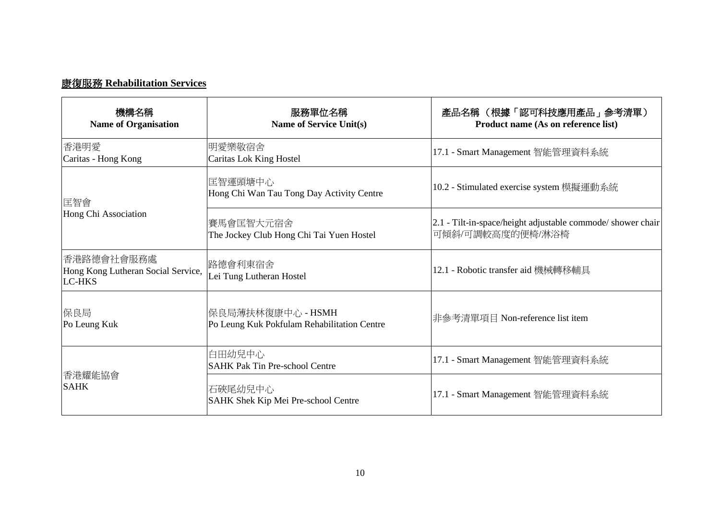## 康復服務 **Rehabilitation Services**

| 機構名稱<br><b>Name of Organisation</b>                               | 服務單位名稱<br>Name of Service Unit(s)                                | 產品名稱 (根據「認可科技應用產品」參考清單)<br>Product name (As on reference list)                  |
|-------------------------------------------------------------------|------------------------------------------------------------------|---------------------------------------------------------------------------------|
| 香港明愛<br>Caritas - Hong Kong                                       | 明愛樂敬宿舍 <br>Caritas Lok King Hostel                               | 17.1 - Smart Management 智能管理資料系統                                                |
| 匡智會                                                               | 匡智運頭塘中心<br>Hong Chi Wan Tau Tong Day Activity Centre             | 10.2 - Stimulated exercise system 模擬運動系統                                        |
| Hong Chi Association                                              | 賽馬會匡智大元宿舍<br>The Jockey Club Hong Chi Tai Yuen Hostel            | 2.1 - Tilt-in-space/height adjustable commode/ shower chair<br>可傾斜/可調較高度的便椅/淋浴椅 |
| 香港路德會社會服務處<br>Hong Kong Lutheran Social Service,<br><b>LC-HKS</b> | 路德會利東宿舍<br>Lei Tung Lutheran Hostel                              | 12.1 - Robotic transfer aid 機械轉移輔具                                              |
| 保良局<br>Po Leung Kuk                                               | 保良局薄扶林復康中心 - HSMH<br>Po Leung Kuk Pokfulam Rehabilitation Centre | 非參考清單項目 Non-reference list item                                                 |
| 香港耀能協會<br><b>SAHK</b>                                             | 白田幼兒中心<br><b>SAHK Pak Tin Pre-school Centre</b>                  | 17.1 - Smart Management 智能管理資料系統                                                |
|                                                                   | 石硤尾幼兒中心<br>SAHK Shek Kip Mei Pre-school Centre                   | 17.1 - Smart Management 智能管理資料系統                                                |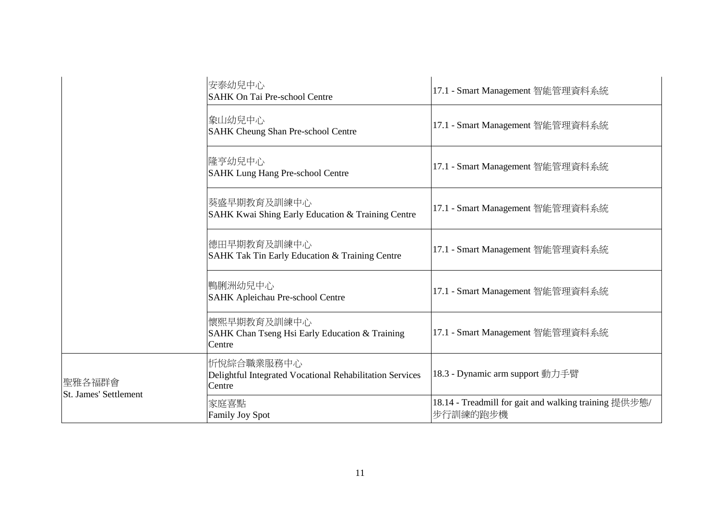|                                        | 安泰幼兒中心<br><b>SAHK On Tai Pre-school Centre</b>                                   | 17.1 - Smart Management 智能管理資料系統                                  |
|----------------------------------------|----------------------------------------------------------------------------------|-------------------------------------------------------------------|
|                                        | 象山幼兒中心<br><b>SAHK Cheung Shan Pre-school Centre</b>                              | 17.1 - Smart Management 智能管理資料系統                                  |
|                                        | 隆亨幼兒中心<br><b>SAHK Lung Hang Pre-school Centre</b>                                | 17.1 - Smart Management 智能管理資料系統                                  |
|                                        | 葵盛早期教育及訓練中心<br>SAHK Kwai Shing Early Education & Training Centre                 | 17.1 - Smart Management 智能管理資料系統                                  |
|                                        | 德田早期教育及訓練中心<br>SAHK Tak Tin Early Education & Training Centre                    | 17.1 - Smart Management 智能管理資料系統                                  |
|                                        | 鴨脷洲幼兒中心<br>SAHK Apleichau Pre-school Centre                                      | 17.1 - Smart Management 智能管理資料系統                                  |
|                                        | 懷熙早期教育及訓練中心<br>SAHK Chan Tseng Hsi Early Education & Training<br>Centre          | 17.1 - Smart Management 智能管理資料系統                                  |
| 聖雅各福群會<br><b>St. James' Settlement</b> | 忻悅綜合職業服務中心<br>Delightful Integrated Vocational Rehabilitation Services<br>Centre | 18.3 - Dynamic arm support 動力手臂                                   |
|                                        | 家庭喜點<br><b>Family Joy Spot</b>                                                   | 18.14 - Treadmill for gait and walking training 提供步態/<br>步行訓練的跑步機 |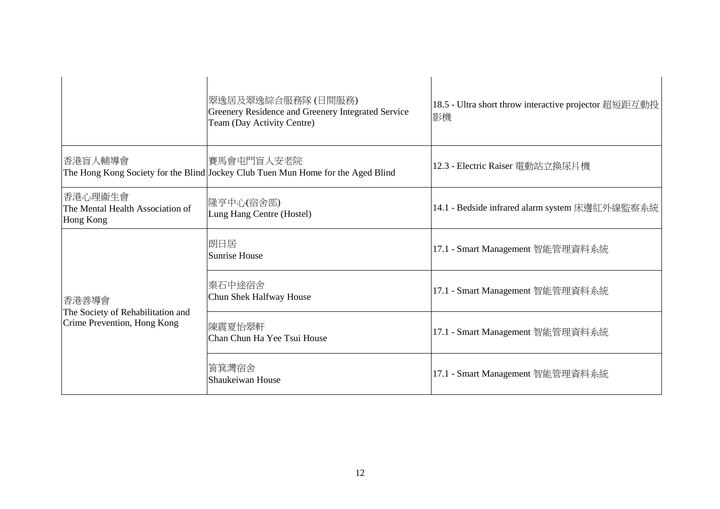|                                                                           | 翠逸居及翠逸綜合服務隊 (日間服務)<br>Greenery Residence and Greenery Integrated Service<br>Team (Day Activity Centre) | 18.5 - Ultra short throw interactive projector 超短距互動投<br>影機 |
|---------------------------------------------------------------------------|--------------------------------------------------------------------------------------------------------|-------------------------------------------------------------|
| 香港盲人輔導會                                                                   | 賽馬會屯門盲人安老院<br>The Hong Kong Society for the Blind Jockey Club Tuen Mun Home for the Aged Blind         | 12.3 - Electric Raiser 電動站立換尿片機                             |
| 香港心理衞生會<br>The Mental Health Association of<br>Hong Kong                  | 隆亨中心(宿舍部) <br>Lung Hang Centre (Hostel)                                                                | 14.1 - Bedside infrared alarm system 床邊紅外線監察系統              |
| 香港善導會<br>The Society of Rehabilitation and<br>Crime Prevention, Hong Kong | 朗日居<br><b>Sunrise House</b>                                                                            | 17.1 - Smart Management 智能管理資料系統                            |
|                                                                           | 秦石中途宿舍<br>Chun Shek Halfway House                                                                      | 17.1 - Smart Management 智能管理資料系統                            |
|                                                                           | 陳震夏怡翠軒 <br>Chan Chun Ha Yee Tsui House                                                                 | 17.1 - Smart Management 智能管理資料系統                            |
|                                                                           | 筲箕灣宿舍<br>Shaukeiwan House                                                                              | 17.1 - Smart Management 智能管理資料系統                            |